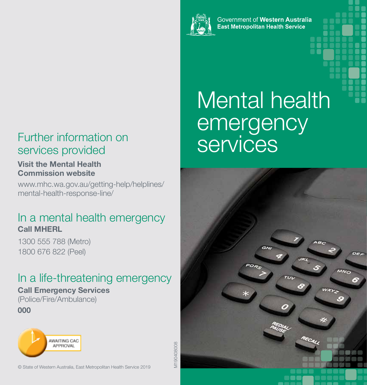

Government of Western Australia **East Metropolitan Health Service** 

### Further information on<br>services provided<br>Services services provided

#### **Visit the Mental Health Commission website**

www.mhc.wa.gov.au/getting-help/helplines/ mental-health-response-line/

### In a mental health emergency **Call MHERL**

1300 555 788 (Metro) 1800 676 822 (Peel)

## In a life-threatening emergency

### **Call Emergency Services**

(Police/Fire/Ambulance) **000**



M190408008 M190408008

# Mental health emergency



© State of Western Australia, East Metropolitan Health Service 2019